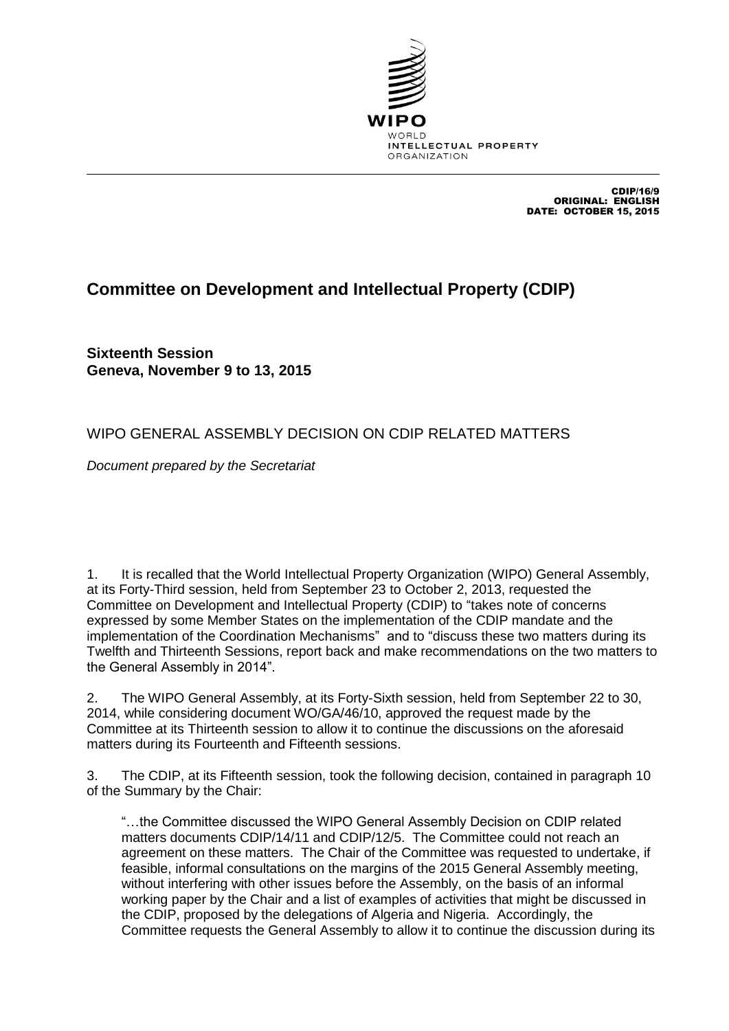

CDIP/16/9 ORIGINAL: ENGLISH DATE: OCTOBER 15, 2015

## **Committee on Development and Intellectual Property (CDIP)**

**Sixteenth Session Geneva, November 9 to 13, 2015**

## WIPO GENERAL ASSEMBLY DECISION ON CDIP RELATED MATTERS

*Document prepared by the Secretariat*

1. It is recalled that the World Intellectual Property Organization (WIPO) General Assembly, at its Forty-Third session, held from September 23 to October 2, 2013, requested the Committee on Development and Intellectual Property (CDIP) to "takes note of concerns expressed by some Member States on the implementation of the CDIP mandate and the implementation of the Coordination Mechanisms" and to "discuss these two matters during its Twelfth and Thirteenth Sessions, report back and make recommendations on the two matters to the General Assembly in 2014".

2. The WIPO General Assembly, at its Forty-Sixth session, held from September 22 to 30, 2014, while considering document WO/GA/46/10, approved the request made by the Committee at its Thirteenth session to allow it to continue the discussions on the aforesaid matters during its Fourteenth and Fifteenth sessions.

3. The CDIP, at its Fifteenth session, took the following decision, contained in paragraph 10 of the Summary by the Chair:

"…the Committee discussed the WIPO General Assembly Decision on CDIP related matters documents CDIP/14/11 and CDIP/12/5. The Committee could not reach an agreement on these matters. The Chair of the Committee was requested to undertake, if feasible, informal consultations on the margins of the 2015 General Assembly meeting, without interfering with other issues before the Assembly, on the basis of an informal working paper by the Chair and a list of examples of activities that might be discussed in the CDIP, proposed by the delegations of Algeria and Nigeria. Accordingly, the Committee requests the General Assembly to allow it to continue the discussion during its